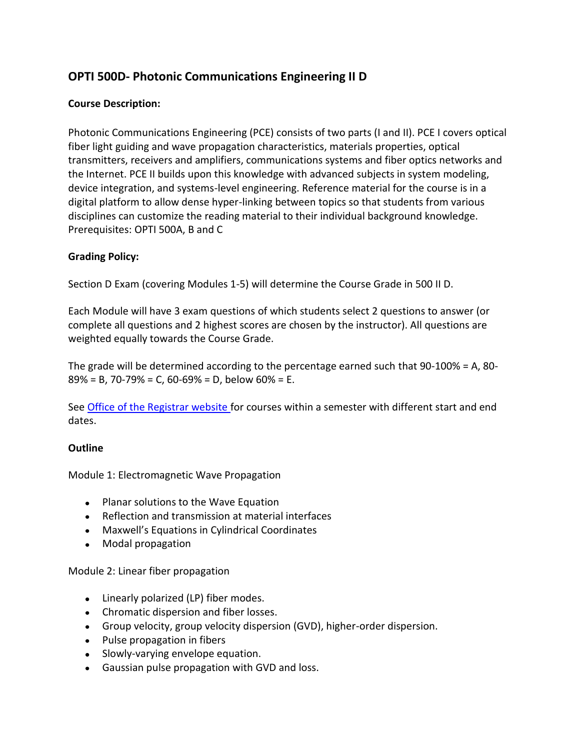## **OPTI 500D- Photonic Communications Engineering II D**

## **Course Description:**

Photonic Communications Engineering (PCE) consists of two parts (I and II). PCE I covers optical fiber light guiding and wave propagation characteristics, materials properties, optical transmitters, receivers and amplifiers, communications systems and fiber optics networks and the Internet. PCE II builds upon this knowledge with advanced subjects in system modeling, device integration, and systems-level engineering. Reference material for the course is in a digital platform to allow dense hyper-linking between topics so that students from various disciplines can customize the reading material to their individual background knowledge. Prerequisites: OPTI 500A, B and C

## **Grading Policy:**

Section D Exam (covering Modules 1-5) will determine the Course Grade in 500 II D.

Each Module will have 3 exam questions of which students select 2 questions to answer (or complete all questions and 2 highest scores are chosen by the instructor). All questions are weighted equally towards the Course Grade.

The grade will be determined according to the percentage earned such that 90-100% = A, 80-  $89\% = B$ , 70-79% = C, 60-69% = D, below 60% = E.

See [Office of the Registrar website f](http://registrar.arizona.edu/schedules/fall/fall-2012/dynamically-dated/l-z)or courses within a semester with different start and end dates.

## **Outline**

Module 1: Electromagnetic Wave Propagation

- Planar solutions to the Wave Equation
- Reflection and transmission at material interfaces
- Maxwell's Equations in Cylindrical Coordinates
- Modal propagation

Module 2: Linear fiber propagation

- Linearly polarized (LP) fiber modes.
- Chromatic dispersion and fiber losses.
- Group velocity, group velocity dispersion (GVD), higher-order dispersion.
- Pulse propagation in fibers
- Slowly-varying envelope equation.
- Gaussian pulse propagation with GVD and loss.